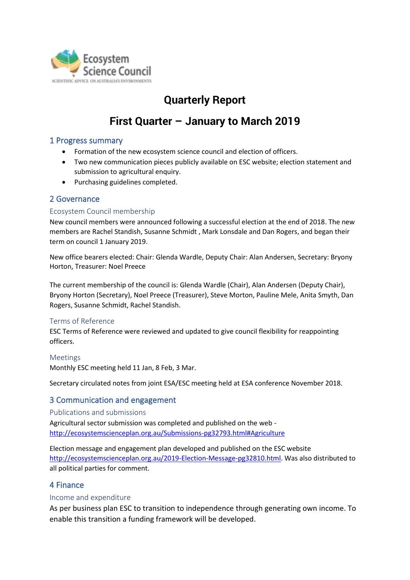

# **Quarterly Report**

# **First Quarter – January to March 2019**

# 1 Progress summary

- Formation of the new ecosystem science council and election of officers.
- Two new communication pieces publicly available on ESC website; election statement and submission to agricultural enquiry.
- Purchasing guidelines completed.

# 2 Governance

#### Ecosystem Council membership

New council members were announced following a successful election at the end of 2018. The new members are Rachel Standish, Susanne Schmidt , Mark Lonsdale and Dan Rogers, and began their term on council 1 January 2019.

New office bearers elected: Chair: Glenda Wardle, Deputy Chair: Alan Andersen, Secretary: Bryony Horton, Treasurer: Noel Preece

The current membership of the council is: Glenda Wardle (Chair), Alan Andersen (Deputy Chair), Bryony Horton (Secretary), Noel Preece (Treasurer), Steve Morton, Pauline Mele, Anita Smyth, Dan Rogers, Susanne Schmidt, Rachel Standish.

# Terms of Reference

ESC Terms of Reference were reviewed and updated to give council flexibility for reappointing officers.

#### Meetings

Monthly ESC meeting held 11 Jan, 8 Feb, 3 Mar.

Secretary circulated notes from joint ESA/ESC meeting held at ESA conference November 2018.

# 3 Communication and engagement

Publications and submissions Agricultural sector submission was completed and published on the web <http://ecosystemscienceplan.org.au/Submissions-pg32793.html#Agriculture>

Election message and engagement plan developed and published on the ESC website [http://ecosystemscienceplan.org.au/2019-Election-Message-pg32810.html.](http://ecosystemscienceplan.org.au/2019-Election-Message-pg32810.html) Was also distributed to all political parties for comment.

# 4 Finance

#### Income and expenditure

As per business plan ESC to transition to independence through generating own income. To enable this transition a funding framework will be developed.